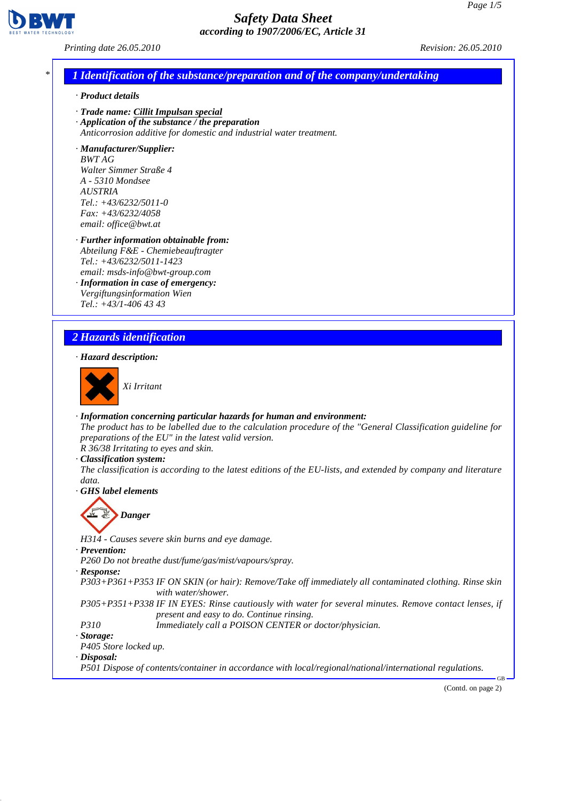

*Printing date 26.05.2010 Revision: 26.05.2010*

### *\* 1 Identification of the substance/preparation and of the company/undertaking*

- *· Product details*
- *· Trade name: Cillit Impulsan special*
- *· Application of the substance / the preparation Anticorrosion additive for domestic and industrial water treatment.*

*· Manufacturer/Supplier: BWT AG Walter Simmer Straße 4 A - 5310 Mondsee AUSTRIA Tel.: +43/6232/5011-0 Fax: +43/6232/4058 email: office@bwt.at*

- *· Further information obtainable from: Abteilung F&E - Chemiebeauftragter Tel.: +43/6232/5011-1423 email: msds-info@bwt-group.com*
- *· Information in case of emergency: Vergiftungsinformation Wien Tel.: +43/1-406 43 43*

### *2 Hazards identification*

#### *· Hazard description:*



*Xi Irritant*

*· Information concerning particular hazards for human and environment:*

*The product has to be labelled due to the calculation procedure of the "General Classification guideline for preparations of the EU" in the latest valid version.*

*R 36/38 Irritating to eyes and skin.*

*· Classification system:*

*The classification is according to the latest editions of the EU-lists, and extended by company and literature data.*

*· GHS label elements*

# *Danger*

*H314 - Causes severe skin burns and eye damage. · Prevention:*

*P260 Do not breathe dust/fume/gas/mist/vapours/spray.*

*· Response:*

*P303+P361+P353 IF ON SKIN (or hair): Remove/Take off immediately all contaminated clothing. Rinse skin with water/shower.*

*P305+P351+P338 IF IN EYES: Rinse cautiously with water for several minutes. Remove contact lenses, if*

- *present and easy to do. Continue rinsing. P310 Immediately call a POISON CENTER or doctor/physician.*
- 

*· Storage: P405 Store locked up.*

*· Disposal:*

*P501 Dispose of contents/container in accordance with local/regional/national/international regulations.*

(Contd. on page 2)

GB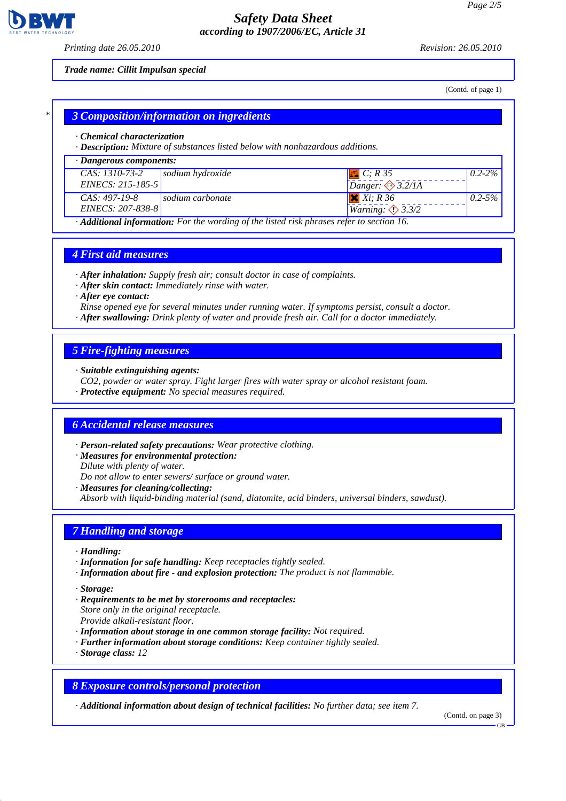

*Printing date 26.05.2010 Revision: 26.05.2010*

#### *Trade name: Cillit Impulsan special*

(Contd. of page 1)

#### *\* 3 Composition/information on ingredients*

- *· Chemical characterization*
- *· Description: Mixture of substances listed below with nonhazardous additions.*

| $\cdot$ Dangerous components:                                                                          |                  |                                   |             |  |
|--------------------------------------------------------------------------------------------------------|------------------|-----------------------------------|-------------|--|
| CAS: 1310-73-2                                                                                         | sodium hydroxide | $\left  \Box \right $ C; R 35     | $0.2 - 2\%$ |  |
| EINECS: 215-185-5                                                                                      |                  | Danger: $\leftrightarrow$ 3.2/1A  |             |  |
| $CAS: 497-19-8$                                                                                        | sodium carbonate | $X$ $Xi$ ; R 36                   | $0.2 - 5\%$ |  |
| EINECS: 207-838-8                                                                                      |                  | <i>Warning</i> $\bigotimes$ 3.3/2 |             |  |
| $\cdot$ <b>Additional information:</b> For the wording of the listed risk phrases refer to section 16. |                  |                                   |             |  |

#### *4 First aid measures*

*· After inhalation: Supply fresh air; consult doctor in case of complaints.*

*· After skin contact: Immediately rinse with water.*

*· After eye contact:*

*Rinse opened eye for several minutes under running water. If symptoms persist, consult a doctor.*

*· After swallowing: Drink plenty of water and provide fresh air. Call for a doctor immediately.*

### *5 Fire-fighting measures*

*· Suitable extinguishing agents:*

- *CO2, powder or water spray. Fight larger fires with water spray or alcohol resistant foam.*
- *· Protective equipment: No special measures required.*

### *6 Accidental release measures*

*· Person-related safety precautions: Wear protective clothing.*

- *· Measures for environmental protection:*
- *Dilute with plenty of water.*

*Do not allow to enter sewers/ surface or ground water.*

- *· Measures for cleaning/collecting:*
- *Absorb with liquid-binding material (sand, diatomite, acid binders, universal binders, sawdust).*

### *7 Handling and storage*

- *· Handling:*
- *· Information for safe handling: Keep receptacles tightly sealed.*
- *· Information about fire and explosion protection: The product is not flammable.*
- *· Storage:*
- *· Requirements to be met by storerooms and receptacles: Store only in the original receptacle. Provide alkali-resistant floor.*
- *· Information about storage in one common storage facility: Not required.*
- *· Further information about storage conditions: Keep container tightly sealed.*
- *· Storage class: 12*

### *8 Exposure controls/personal protection*

*· Additional information about design of technical facilities: No further data; see item 7.*

(Contd. on page 3)

GB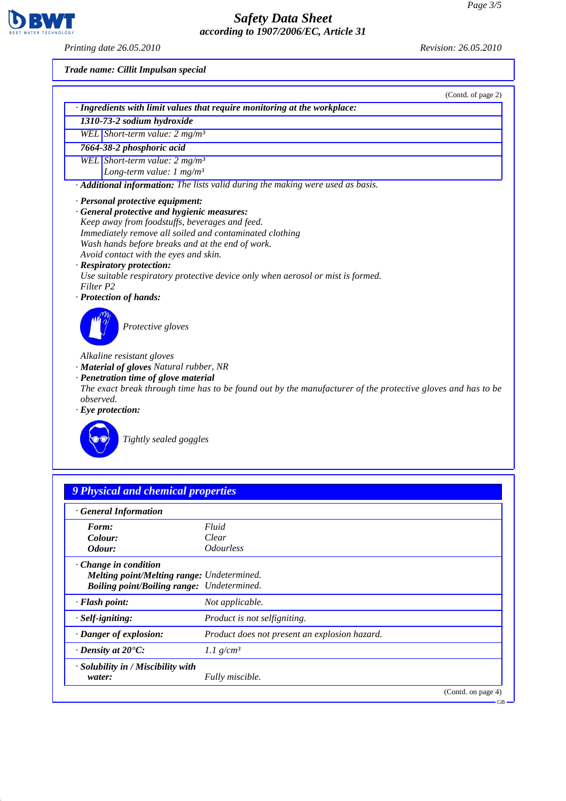*Printing date 26.05.2010 Revision: 26.05.2010*

**BWT** 

1

*Trade name: Cillit Impulsan special*

|                                                                                                             | (Contd. of page 2) |
|-------------------------------------------------------------------------------------------------------------|--------------------|
| · Ingredients with limit values that require monitoring at the workplace:                                   |                    |
| 1310-73-2 sodium hydroxide                                                                                  |                    |
| WEL Short-term value: $2 mg/m3$                                                                             |                    |
| 7664-38-2 phosphoric acid                                                                                   |                    |
| WEL Short-term value: 2 mg/m <sup>3</sup>                                                                   |                    |
| Long-term value: $1 \text{ mg/m}^3$                                                                         |                    |
| · Additional information: The lists valid during the making were used as basis.                             |                    |
| · Personal protective equipment:                                                                            |                    |
| General protective and hygienic measures:                                                                   |                    |
| Keep away from foodstuffs, beverages and feed.                                                              |                    |
| Immediately remove all soiled and contaminated clothing                                                     |                    |
| Wash hands before breaks and at the end of work.                                                            |                    |
| Avoid contact with the eyes and skin.                                                                       |                    |
| · Respiratory protection:                                                                                   |                    |
| Use suitable respiratory protective device only when aerosol or mist is formed.                             |                    |
| Filter P2                                                                                                   |                    |
| · Protection of hands:                                                                                      |                    |
| Protective gloves                                                                                           |                    |
| Alkaline resistant gloves                                                                                   |                    |
| · Material of gloves Natural rubber, NR                                                                     |                    |
| · Penetration time of glove material                                                                        |                    |
| The exact break through time has to be found out by the manufacturer of the protective gloves and has to be |                    |
| observed.                                                                                                   |                    |
| $\cdot$ Eye protection:                                                                                     |                    |
|                                                                                                             |                    |
| Tightly sealed goggles                                                                                      |                    |

## *9 Physical and chemical properties*

| <b>General Information</b>                        |                                               |                    |
|---------------------------------------------------|-----------------------------------------------|--------------------|
| Form:                                             | Fluid                                         |                    |
| Colour:                                           | Clear                                         |                    |
| Odour:                                            | <i><b>Odourless</b></i>                       |                    |
| $\cdot$ Change in condition                       |                                               |                    |
| <b>Melting point/Melting range: Undetermined.</b> |                                               |                    |
| <b>Boiling point/Boiling range:</b> Undetermined. |                                               |                    |
| $\cdot$ Flash point:                              | Not applicable.                               |                    |
| $\cdot$ Self-igniting:                            | Product is not selfigniting.                  |                    |
| · Danger of explosion:                            | Product does not present an explosion hazard. |                    |
| $\cdot$ Density at 20 $\degree$ C:                | 1.1 $g/cm^3$                                  |                    |
| · Solubility in / Miscibility with                |                                               |                    |
| water:                                            | Fully miscible.                               |                    |
|                                                   |                                               | (Contd. on page 4) |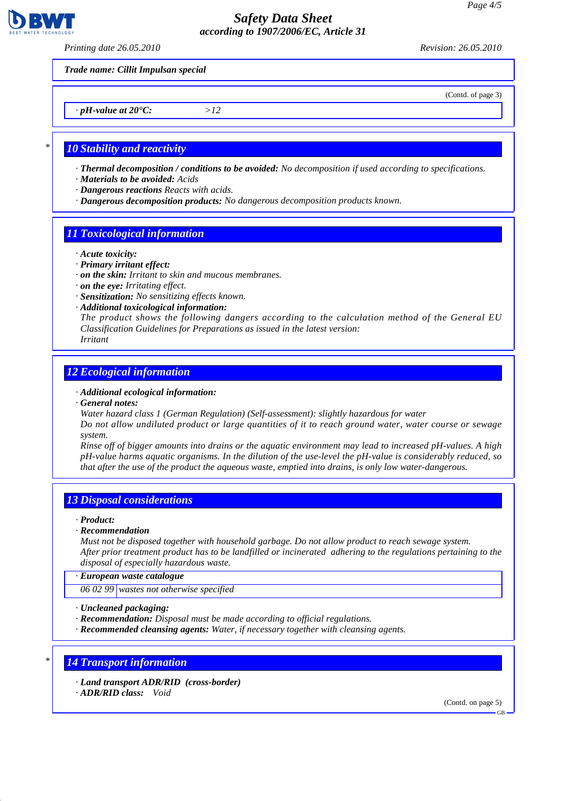

*Printing date 26.05.2010 Revision: 26.05.2010*

(Contd. of page 3)

*· pH-value at 20°C: >12*

*Trade name: Cillit Impulsan special*

### *\* 10 Stability and reactivity*

- *· Thermal decomposition / conditions to be avoided: No decomposition if used according to specifications.*
- *· Materials to be avoided: Acids*
- *· Dangerous reactions Reacts with acids.*
- *· Dangerous decomposition products: No dangerous decomposition products known.*

### *11 Toxicological information*

- *· Acute toxicity:*
- *· Primary irritant effect:*
- *· on the skin: Irritant to skin and mucous membranes.*
- *· on the eye: Irritating effect.*
- *· Sensitization: No sensitizing effects known.*
- *· Additional toxicological information:*

*The product shows the following dangers according to the calculation method of the General EU Classification Guidelines for Preparations as issued in the latest version: Irritant*

### *12 Ecological information*

#### *· Additional ecological information:*

- *· General notes:*
- *Water hazard class 1 (German Regulation) (Self-assessment): slightly hazardous for water*

*Do not allow undiluted product or large quantities of it to reach ground water, water course or sewage system.*

*Rinse off of bigger amounts into drains or the aquatic environment may lead to increased pH-values. A high pH-value harms aquatic organisms. In the dilution of the use-level the pH-value is considerably reduced, so that after the use of the product the aqueous waste, emptied into drains, is only low water-dangerous.*

### *13 Disposal considerations*

#### *· Product:*

*· Recommendation*

*Must not be disposed together with household garbage. Do not allow product to reach sewage system. After prior treatment product has to be landfilled or incinerated adhering to the regulations pertaining to the disposal of especially hazardous waste.*

*· European waste catalogue*

*06 02 99 wastes not otherwise specified*

*· Uncleaned packaging:*

- *· Recommendation: Disposal must be made according to official regulations.*
- *· Recommended cleansing agents: Water, if necessary together with cleansing agents.*

### *\* 14 Transport information*

- *· Land transport ADR/RID (cross-border)*
- *· ADR/RID class: Void*

(Contd. on page 5)

GB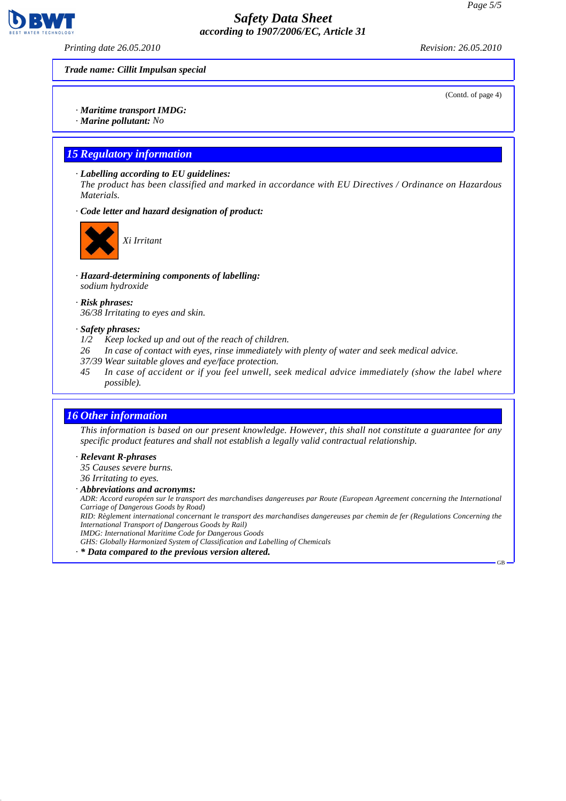

*Printing date 26.05.2010 Revision: 26.05.2010*

*Trade name: Cillit Impulsan special*

(Contd. of page 4)

#### *· Maritime transport IMDG:*

*· Marine pollutant: No*

### *15 Regulatory information*

*· Labelling according to EU guidelines:*

*The product has been classified and marked in accordance with EU Directives / Ordinance on Hazardous Materials.*

*· Code letter and hazard designation of product:*



*Xi Irritant*

- *· Hazard-determining components of labelling: sodium hydroxide*
- *· Risk phrases: 36/38 Irritating to eyes and skin.*

#### *· Safety phrases:*

- *1/2 Keep locked up and out of the reach of children.*
- *26 In case of contact with eyes, rinse immediately with plenty of water and seek medical advice.*
- *37/39 Wear suitable gloves and eye/face protection.*
- *45 In case of accident or if you feel unwell, seek medical advice immediately (show the label where possible).*

### *16 Other information*

*This information is based on our present knowledge. However, this shall not constitute a guarantee for any specific product features and shall not establish a legally valid contractual relationship.*

#### *· Relevant R-phrases*

*35 Causes severe burns.*

*36 Irritating to eyes.*

*· Abbreviations and acronyms:*

*ADR: Accord européen sur le transport des marchandises dangereuses par Route (European Agreement concerning the International Carriage of Dangerous Goods by Road)*

*RID: Règlement international concernant le transport des marchandises dangereuses par chemin de fer (Regulations Concerning the International Transport of Dangerous Goods by Rail)*

*IMDG: International Maritime Code for Dangerous Goods*

*GHS: Globally Harmonized System of Classification and Labelling of Chemicals*

*· \* Data compared to the previous version altered.*